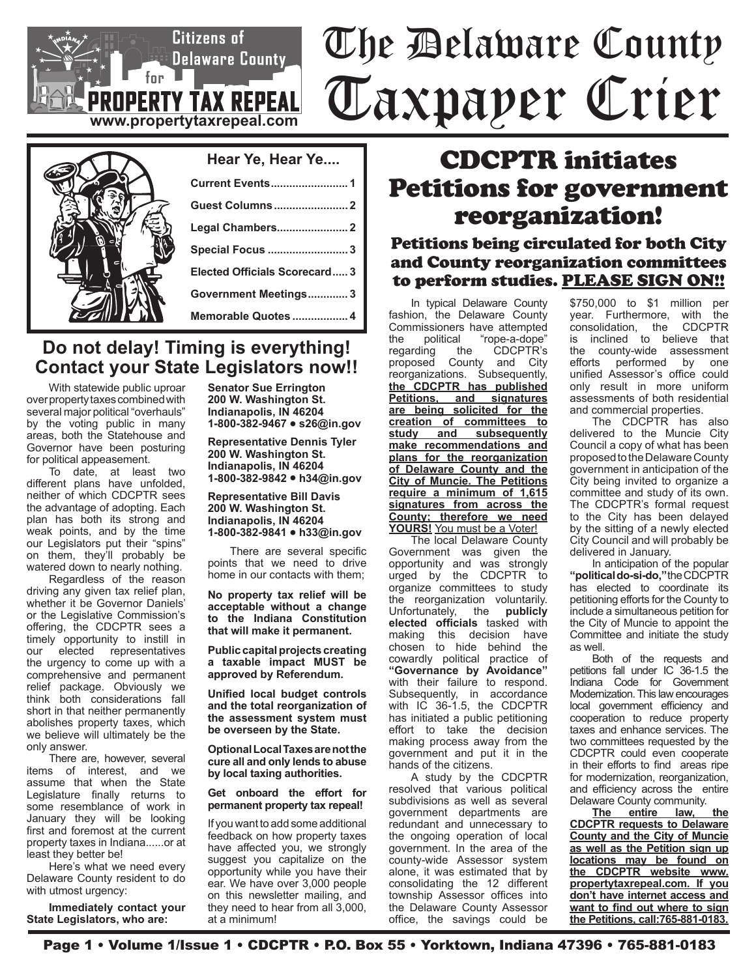# The Delaware County Taxpayer Crier

| Hear Ye, Hear Ye              |
|-------------------------------|
| <b>Current Events 1</b>       |
| <b>Guest Columns 2</b>        |
| Legal Chambers 2              |
| <b>Special Focus  3</b>       |
| Elected Officials Scorecard 3 |
| Government Meetings3          |
| Memorable Quotes  4           |

**www.propertytaxrepeal.com**

**PROPERTY TAX REPEAL** 

 $f_{\text{or}}$ 

Citizens of

Delaware County

### **Do not delay! Timing is everything! Contact your State Legislators now!!**

With statewide public uproar over property taxes combined with several major political "overhauls" by the voting public in many areas, both the Statehouse and Governor have been posturing for political appeasement.

To date, at least two different plans have unfolded, neither of which CDCPTR sees the advantage of adopting. Each plan has both its strong and weak points, and by the time our Legislators put their "spins" on them, they'll probably be watered down to nearly nothing.

Regardless of the reason driving any given tax relief plan, whether it be Governor Daniels' or the Legislative Commission's offering, the CDCPTR sees a timely opportunity to instill in our elected representatives the urgency to come up with a comprehensive and permanent relief package. Obviously we think both considerations fall short in that neither permanently abolishes property taxes, which we believe will ultimately be the only answer.

There are, however, several items of interest, and we assume that when the State Legislature finally returns to some resemblance of work in January they will be looking first and foremost at the current property taxes in Indiana......or at least they better be!

Here's what we need every Delaware County resident to do with utmost urgency:

**Immediately contact your State Legislators, who are:**

**Senator Sue Errington 200 W. Washington St. Indianapolis, IN 46204 1-800-382-9467 • s26@in.gov**

**Representative Dennis Tyler 200 W. Washington St. Indianapolis, IN 46204 1-800-382-9842 • h34@in.gov**

**Representative Bill Davis 200 W. Washington St. Indianapolis, IN 46204 1-800-382-9841 • h33@in.gov**

There are several specific points that we need to drive home in our contacts with them;

**No property tax relief will be acceptable without a change to the Indiana Constitution that will make it permanent.** 

**Public capital projects creating a taxable impact MUST be approved by Referendum.**

**Unified local budget controls and the total reorganization of the assessment system must be overseen by the State.**

**Optional Local Taxes are not the cure all and only lends to abuse by local taxing authorities.**

**Get onboard the effort for permanent property tax repeal!**

If you want to add some additional feedback on how property taxes have affected you, we strongly suggest you capitalize on the opportunity while you have their ear. We have over 3,000 people on this newsletter mailing, and they need to hear from all 3,000, at a minimum!

## CDCPTR initiates Petitions for government reorganization!

### Petitions being circulated for both City and County reorganization committees to perform studies. PLEASE SIGN ON!!

In typical Delaware County fashion, the Delaware County Commissioners have attempted<br>the political "rope-a-dope" the political "rope-a-dope"<br>regarding the CDCPTR's CDCPTR's proposed County and City reorganizations. Subsequently, **the CDCPTR has published Petitions, and signatures are being solicited for the creation of committees to study and subsequently make recommendations and plans for the reorganization of Delaware County and the City of Muncie. The Petitions require a minimum of 1,615 signatures from across the County; therefore we need YOURS!** You must be a Voter!

The local Delaware County Government was given the opportunity and was strongly urged by the CDCPTR to organize committees to study the reorganization voluntarily.<br>Unfortunately, the **publicly** the **publicly elected officials** tasked with making this decision have chosen to hide behind the cowardly political practice of **"Governance by Avoidance"** with their failure to respond. Subsequently, in accordance with IC 36-1.5, the CDCPTR has initiated a public petitioning effort to take the decision making process away from the government and put it in the hands of the citizens.

A study by the CDCPTR resolved that various political subdivisions as well as several government departments are redundant and unnecessary to the ongoing operation of local government. In the area of the county-wide Assessor system alone, it was estimated that by consolidating the 12 different township Assessor offices into the Delaware County Assessor office, the savings could be

\$750,000 to \$1 million per year. Furthermore, with the consolidation, the CDCPTR is inclined to believe that the county-wide assessment efforts performed by one unified Assessor's office could only result in more uniform assessments of both residential and commercial properties.

The CDCPTR has also delivered to the Muncie City Council a copy of what has been proposed to the Delaware County government in anticipation of the City being invited to organize a committee and study of its own. The CDCPTR's formal request to the City has been delayed by the sitting of a newly elected City Council and will probably be delivered in January.

In anticipation of the popular **"political do-si-do,"** the CDCPTR has elected to coordinate its petitioning efforts for the County to include a simultaneous petition for the City of Muncie to appoint the Committee and initiate the study as well.

Both of the requests and petitions fall under IC 36-1.5 the Indiana Code for Government Modernization. This law encourages local government efficiency and cooperation to reduce property taxes and enhance services. The two committees requested by the CDCPTR could even cooperate in their efforts to find areas ripe for modernization, reorganization, and efficiency across the entire Delaware County community.

**The entire law, the CDCPTR requests to Delaware County and the City of Muncie as well as the Petition sign up locations may be found on the CDCPTR website www. propertytaxrepeal.com. If you don't have internet access and want to find out where to sign the Petitions, call:765-881-0183.**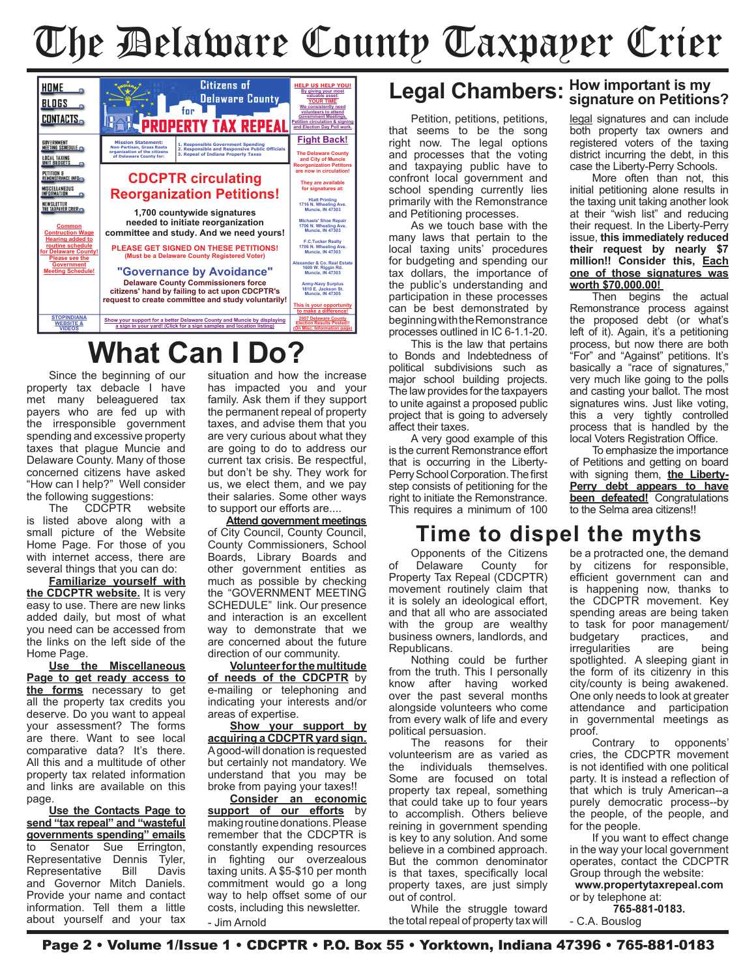# The Delaware County Taxpayer Crier



# **What Can I Do?**

Since the beginning of our property tax debacle I have met many beleaguered tax payers who are fed up with the irresponsible government spending and excessive property taxes that plague Muncie and Delaware County. Many of those concerned citizens have asked "How can I help?" Well consider the following suggestions:

The CDCPTR website is listed above along with a small picture of the Website Home Page. For those of you with internet access, there are several things that you can do:

**Familiarize yourself with the CDCPTR website.** It is very easy to use. There are new links added daily, but most of what you need can be accessed from the links on the left side of the Home Page.

**Use the Miscellaneous Page to get ready access to the forms** necessary to get all the property tax credits you deserve. Do you want to appeal your assessment? The forms are there. Want to see local comparative data? It's there. All this and a multitude of other property tax related information and links are available on this page.

**Use the Contacts Page to send "tax repeal" and "wasteful governments spending" emails**<br>to Senator Sue Frrington Senator Sue Errington, Representative Dennis Tyler, Representative Bill Davis and Governor Mitch Daniels. Provide your name and contact information. Tell them a little about yourself and your tax situation and how the increase has impacted you and your family. Ask them if they support the permanent repeal of property taxes, and advise them that you are very curious about what they are going to do to address our current tax crisis. Be respectful, but don't be shy. They work for us, we elect them, and we pay their salaries. Some other ways to support our efforts are....

**Attend government meetings** of City Council, County Council, County Commissioners, School Boards, Library Boards and other government entities as much as possible by checking the "GOVERNMENT MEETING SCHEDULE" link. Our presence and interaction is an excellent way to demonstrate that we are concerned about the future direction of our community.

**Volunteer for the multitude of needs of the CDCPTR** by e-mailing or telephoning and indicating your interests and/or areas of expertise.

**Show your support by acquiring a CDCPTR yard sign.** A good-will donation is requested but certainly not mandatory. We understand that you may be broke from paying your taxes!!

**Consider an economic support of our efforts** by making routine donations. Please remember that the CDCPTR is constantly expending resources in fighting our overzealous taxing units. A \$5-\$10 per month commitment would go a long way to help offset some of our costs, including this newsletter. - Jim Arnold

# **Legal Chambers: How important is my signature on Petitions?**

Petition, petitions, petitions, that seems to be the song right now. The legal options and processes that the voting and taxpaying public have to confront local government and school spending currently lies primarily with the Remonstrance and Petitioning processes.

As we touch base with the many laws that pertain to the local taxing units' procedures for budgeting and spending our tax dollars, the importance of the public's understanding and participation in these processes can be best demonstrated by beginning with the Remonstrance processes outlined in IC 6-1.1-20.

This is the law that pertains to Bonds and Indebtedness of political subdivisions such as major school building projects. The law provides for the taxpayers to unite against a proposed public project that is going to adversely affect their taxes.

A very good example of this is the current Remonstrance effort that is occurring in the Liberty-Perry School Corporation. The first step consists of petitioning for the right to initiate the Remonstrance. This requires a minimum of 100 legal signatures and can include both property tax owners and registered voters of the taxing district incurring the debt, in this case the Liberty-Perry Schools.

More often than not, this initial petitioning alone results in the taxing unit taking another look at their "wish list" and reducing their request. In the Liberty-Perry issue, **this immediately reduced their request by nearly \$7 million!! Consider this, Each one of those signatures was worth \$70,000.00!** 

Then begins the actual Remonstrance process against the proposed debt (or what's left of it). Again, it's a petitioning process, but now there are both "For" and "Against" petitions. It's basically a "race of signatures," very much like going to the polls and casting your ballot. The most signatures wins. Just like voting, this a very tightly controlled process that is handled by the local Voters Registration Office.

To emphasize the importance of Petitions and getting on board with signing them, **the Liberty-Perry debt appears to have been defeated!** Congratulations to the Selma area citizens!!

### **Time to dispel the myths**

Opponents of the Citizens<br>Delaware County for of Delaware County for Property Tax Repeal (CDCPTR) movement routinely claim that it is solely an ideological effort, and that all who are associated with the group are wealthy business owners, landlords, and Republicans.

Nothing could be further from the truth. This I personally know after having worked over the past several months alongside volunteers who come from every walk of life and every political persuasion.

The reasons for their volunteerism are as varied as the individuals themselves. Some are focused on total property tax repeal, something that could take up to four years to accomplish. Others believe reining in government spending is key to any solution. And some believe in a combined approach. But the common denominator is that taxes, specifically local property taxes, are just simply out of control.

While the struggle toward the total repeal of property tax will

be a protracted one, the demand by citizens for responsible, efficient government can and is happening now, thanks to the CDCPTR movement. Key spending areas are being taken to task for poor management/ budgetary practices, and<br>irregularities are being irregularities spotlighted. A sleeping giant in the form of its citizenry in this city/county is being awakened. One only needs to look at greater attendance and participation in governmental meetings as proof.<br>Contrary

to opponents' cries, the CDCPTR movement is not identified with one political party. It is instead a reflection of that which is truly American--a purely democratic process--by the people, of the people, and for the people.

If you want to effect change in the way your local government operates, contact the CDCPTR Group through the website:

**www.propertytaxrepeal.com** or by telephone at:

**765-881-0183.** - C.A. Bouslog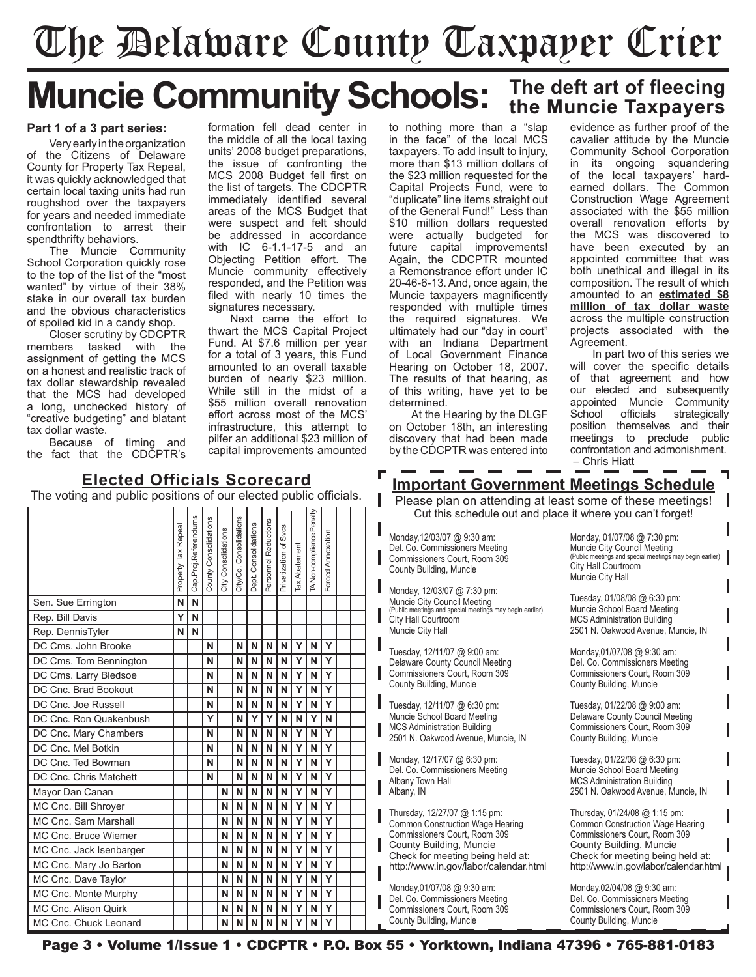# The Delaware County Taxpayer Crier

# **Muncie Community Schools:** The deft art of fleecing **Muncie Community Schools:** The Muncie Taxpayers

#### **Part 1 of a 3 part series:**

Very early in the organization of the Citizens of Delaware County for Property Tax Repeal, it was quickly acknowledged that certain local taxing units had run roughshod over the taxpayers for years and needed immediate confrontation to arrest their spendthrifty behaviors.

The Muncie Community School Corporation quickly rose to the top of the list of the "most wanted" by virtue of their 38% stake in our overall tax burden and the obvious characteristics of spoiled kid in a candy shop.

Closer scrutiny by CDCPTR members tasked with the assignment of getting the MCS on a honest and realistic track of tax dollar stewardship revealed that the MCS had developed a long, unchecked history of "creative budgeting" and blatant tax dollar waste.

Because of timing and the fact that the CDCPTR's formation fell dead center in the middle of all the local taxing units' 2008 budget preparations, the issue of confronting the MCS 2008 Budget fell first on the list of targets. The CDCPTR immediately identified several areas of the MCS Budget that were suspect and felt should be addressed in accordance with IC 6-1.1-17-5 and an Objecting Petition effort. The Muncie community effectively responded, and the Petition was filed with nearly 10 times the signatures necessary.

Next came the effort to thwart the MCS Capital Project Fund. At \$7.6 million per year for a total of 3 years, this Fund amounted to an overall taxable burden of nearly \$23 million. While still in the midst of a \$55 million overall renovation effort across most of the MCS' infrastructure, this attempt to pilfer an additional \$23 million of capital improvements amounted

to nothing more than a "slap in the face" of the local MCS taxpayers. To add insult to injury, more than \$13 million dollars of the \$23 million requested for the Capital Projects Fund, were to "duplicate" line items straight out of the General Fund!" Less than \$10 million dollars requested were actually budgeted for future capital improvements! Again, the CDCPTR mounted a Remonstrance effort under IC 20-46-6-13. And, once again, the Muncie taxpayers magnificently responded with multiple times the required signatures. We ultimately had our "day in court" with an Indiana Department of Local Government Finance Hearing on October 18, 2007. The results of that hearing, as of this writing, have yet to be determined.

At the Hearing by the DLGF on October 18th, an interesting discovery that had been made by the CDCPTR was entered into

evidence as further proof of the cavalier attitude by the Muncie Community School Corporation in its ongoing squandering of the local taxpayers' hardearned dollars. The Common Construction Wage Agreement associated with the \$55 million overall renovation efforts by the MCS was discovered to have been executed by an appointed committee that was both unethical and illegal in its composition. The result of which amounted to an **estimated \$8 million of tax dollar waste** across the multiple construction projects associated with the Agreement.

In part two of this series we will cover the specific details of that agreement and how our elected and subsequently appointed Muncie Community School officials strategically position themselves and their meetings to preclude public confrontation and admonishment. – Chris Hiatt

### **Important Government Meetings Schedule**

Please plan on attending at least some of these meetings! Cut this schedule out and place it where you can't forget!

Monday,12/03/07 @ 9:30 am: Del. Co. Commissioners Meeting Commissioners Court, Room 309 County Building, Muncie

Monday, 12/03/07 @ 7:30 pm: Muncie City Council Meeting (Public meetings and special meetings may begin earlier) City Hall Courtroom Muncie City Hall

Tuesday, 12/11/07 @ 9:00 am: Delaware County Council Meeting Commissioners Court, Room 309 County Building, Muncie

Tuesday, 12/11/07 @ 6:30 pm: Muncie School Board Meeting MCS Administration Building 2501 N. Oakwood Avenue, Muncie, IN

Monday, 12/17/07 @ 6:30 pm: Del. Co. Commissioners Meeting Albany Town Hall Albany, IN

Thursday, 12/27/07 @ 1:15 pm: Common Construction Wage Hearing Commissioners Court, Room 309 County Building, Muncie Check for meeting being held at: http://www.in.gov/labor/calendar.html

Monday,01/07/08 @ 9:30 am: Del. Co. Commissioners Meeting Commissioners Court, Room 309 County Building, Muncie

Monday, 01/07/08 @ 7:30 pm: Muncie City Council Meeting (Public meetings and special meetings may begin earlier) City Hall Courtroom Muncie City Hall

Tuesday, 01/08/08 @ 6:30 pm: Muncie School Board Meeting MCS Administration Building 2501 N. Oakwood Avenue, Muncie, IN

Monday,01/07/08 @ 9:30 am: Del. Co. Commissioners Meeting Commissioners Court, Room 309 County Building, Muncie

Tuesday, 01/22/08 @ 9:00 am: Delaware County Council Meeting Commissioners Court, Room 309 County Building, Muncie

Tuesday, 01/22/08 @ 6:30 pm: Muncie School Board Meeting MCS Administration Building 2501 N. Oakwood Avenue, Muncie, IN

Thursday, 01/24/08 @ 1:15 pm: Common Construction Wage Hearing Commissioners Court, Room 309 County Building, Muncie Check for meeting being held at: http://www.in.gov/labor/calendar.html

Monday,02/04/08 @ 9:30 am: Del. Co. Commissioners Meeting Commissioners Court, Room 309 County Building, Muncie

# Property Tax Repeal<br>Cap.Proj.Referendums<br>County Consolidations<br>City Consolidations<br>Dept. Consolidations<br>Personnel Reductions<br>Privatization of Svcs<br>TANon-compliance Peralty<br>TANon-compliance Peralty<br>TANon-compliance Peralty<br> Sen. Sue Errington **N N N** Rep. Bill Davis **Y N** Rep. DennisTyler **N N N** DC Cms. John Brooke **N N N N N Y N Y**

**Elected Officials Scorecard** The voting and public positions of our elected public officials.

DC Cms. Tom Bennington **N N N N N Y N Y** DC Cms. Larry Bledsoe **N N N N N Y N Y** DC Cnc. Brad Bookout **N N N N N Y N Y** DC Cnc. Joe Russell **N N N N N Y N Y** DC Cnc. Ron Quakenbush **Y N Y Y N N Y N** DC Cnc. Mary Chambers **N N** N | N | N | N | Y | N | Y DC Cnc. Mel Botkin **N N N N N Y N Y** DC Cnc. Ted Bowman **N N N N N Y N Y** DC Cnc. Chris Matchett **N N N N N Y N Y** Mayor Dan Canan **N N N N N N N N Y N Y** MC Cnc. Bill Shroyer **N N N N N Y N Y** MC Cnc. Sam Marshall **N N N N N Y N Y** MC Cnc. Bruce Wiemer **N N N N N Y N Y** MC Cnc. Jack Isenbarger **N N N N N Y N Y** MC Cnc. Mary Jo Barton **N N N N N Y N Y** MC Cnc. Dave Taylor **N N N N N Y N Y**  $M$ C Cnc. Monte Murphy  $M$   $\begin{bmatrix} 1 & 1 \\ 1 & 1 \end{bmatrix}$   $\begin{bmatrix} N & N & N \\ N & N & N \end{bmatrix}$   $\begin{bmatrix} Y & N & Y \\ N & Y & N \end{bmatrix}$ MC Cnc. Alison Quirk **N N N N N Y N Y** MC Cnc. Chuck Leonard **N N N N N Y N Y**

Page 3 • Volume 1/Issue 1 • CDCPTR • P.O. Box 55 • Yorktown, Indiana 47396 • 765-881-0183